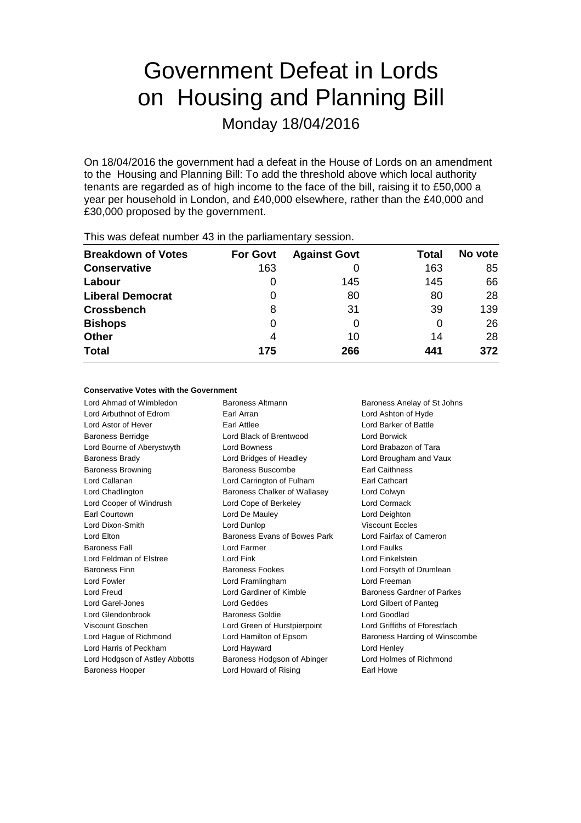# Government Defeat in Lords on Housing and Planning Bill

Monday 18/04/2016

On 18/04/2016 the government had a defeat in the House of Lords on an amendment to the Housing and Planning Bill: To add the threshold above which local authority tenants are regarded as of high income to the face of the bill, raising it to £50,000 a year per household in London, and £40,000 elsewhere, rather than the £40,000 and £30,000 proposed by the government.

| <b>Breakdown of Votes</b> | <b>For Govt</b> | <b>Against Govt</b> | Total | No vote |
|---------------------------|-----------------|---------------------|-------|---------|
| <b>Conservative</b>       | 163             |                     | 163   | 85      |
| Labour                    | 0               | 145                 | 145   | 66      |
| <b>Liberal Democrat</b>   | 0               | 80                  | 80    | 28      |
| <b>Crossbench</b>         | 8               | 31                  | 39    | 139     |
| <b>Bishops</b>            | 0               | 0                   | O     | 26      |
| <b>Other</b>              | 4               | 10                  | 14    | 28      |
| <b>Total</b>              | 175             | 266                 | 441   | 372     |
|                           |                 |                     |       |         |

This was defeat number 43 in the parliamentary session.

### **Conservative Votes with the Government**

Lord Ahmad of Wimbledon Baroness Altmann Baroness Anelay of St Johns Lord Arbuthnot of Edrom Earl Arran Lord Ashton of Hyde Lord Astor of Hever Earl Attlee Lord Barker of Battle Baroness Berridge Lord Black of Brentwood Lord Borwick Lord Bourne of Aberystwyth Lord Bowness Lord Brabazon of Tara Baroness Brady **Lord Bridges of Headley Lord Brougham and Vaux** Baroness Browning **Baroness Buscombe** Earl Caithness Lord Callanan Lord Carrington of Fulham Earl Cathcart Lord Chadlington **Baroness Chalker of Wallasey** Lord Colwyn Lord Cooper of Windrush Lord Cope of Berkeley Lord Cormack Earl Courtown Lord De Mauley Lord Deighton Lord Dixon-Smith Lord Dunlop Viscount Eccles Lord Elton **Baroness Evans of Bowes Park** Lord Fairfax of Cameron Baroness Fall Lord Farmer Lord Faulks Lord Feldman of Elstree Lord Fink Lord Finkelstein Baroness Finn **Baroness Fookes** Lord Forsyth of Drumlean Lord Fowler **Lord Framlingham** Lord Framlingham Lord Freeman Lord Freud Lord Gardiner of Kimble Baroness Gardner of Parkes Lord Garel-Jones Lord Geddes Lord Gilbert of Panteg Lord Glendonbrook Baroness Goldie Lord Goodlad Viscount Goschen Lord Green of Hurstpierpoint Lord Griffiths of Fforestfach Lord Hague of Richmond Lord Hamilton of Epsom Baroness Harding of Winscombe Lord Harris of Peckham Lord Hayward Lord Henley Lord Hodgson of Astley Abbotts Baroness Hodgson of Abinger Lord Holmes of Richmond Baroness Hooper Lord Howard of Rising Earl Howe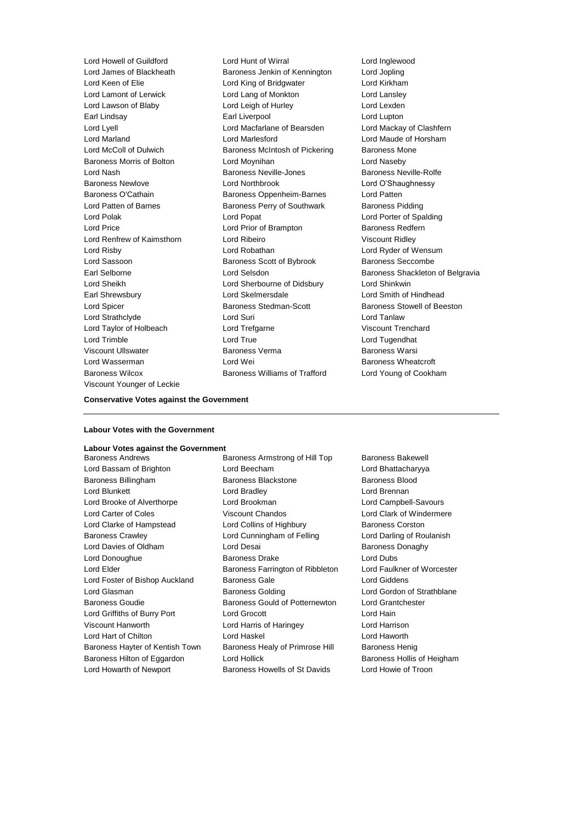Viscount Younger of Leckie

Lord Howell of Guildford Lord Hunt of Wirral Lord Inglewood Baroness Jenkin of Kennington Lord Jopling Lord Keen of Elie Lord King of Bridgwater Lord Kirkham Lord Lamont of Lerwick Lord Lord Lang of Monkton Lord Lansley Lord Lawson of Blaby Lord Leigh of Hurley Lord Lexden Earl Lindsay **Earl Liverpool** Earl Liverpool **Lord Lupton** Lord Lyell Lord Macfarlane of Bearsden Lord Mackay of Clashfern Lord Marlesford **Lord Maude of Horsham** Lord McColl of Dulwich Baroness McIntosh of Pickering Baroness Mone Baroness Morris of Bolton Lord Moynihan Lord Naseby Lord Nash Baroness Neville-Jones Baroness Neville-Rolfe Baroness Newlove Lord Northbrook Lord O'Shaughnessy Baroness O'Cathain **Baroness Oppenheim-Barnes** Lord Patten Lord Patten of Barnes **Baroness Perry of Southwark** Baroness Pidding Lord Polak Lord Popat Lord Porter of Spalding Lord Price **Lord Prior of Brampton** Baroness Redfern Lord Renfrew of Kaimsthorn Lord Ribeiro Viscount Ridley Lord Risby Lord Robathan Lord Ryder of Wensum Lord Sassoon **Baroness Scott of Bybrook** Baroness Seccombe Lord Sheikh Lord Sherbourne of Didsbury Lord Shinkwin Earl Shrewsbury Lord Skelmersdale Lord Smith of Hindhead Lord Spicer Baroness Stedman-Scott Baroness Stowell of Beeston Lord Strathclyde Lord Suri Lord Tanlaw Lord Taylor of Holbeach Lord Trefgarne Viscount Trenchard Lord Trimble Lord True Lord Tugendhat Viscount Ullswater Baroness Verma Baroness Warsi Lord Wasserman **Lord Wei** Lord Wei **Baroness Wheatcroft** Baroness Wilcox Baroness Williams of Trafford Lord Young of Cookham

Earl Selborne Lord Selsdon Baroness Shackleton of Belgravia

### **Conservative Votes against the Government**

#### **Labour Votes with the Government**

# **Labour Votes against the Government**

Lord Bassam of Brighton Lord Beecham Lord Bhattacharyya Baroness Billingham Baroness Blackstone Baroness Blood Lord Blunkett Lord Bradley Lord Brennan Lord Brooke of Alverthorpe Lord Brookman Lord Campbell-Savours Lord Carter of Coles Viscount Chandos Lord Clark of Windermere Lord Clarke of Hampstead Lord Collins of Highbury Baroness Corston Baroness Crawley **Lord Cunningham of Felling Carol** Lord Darling of Roulanish Lord Davies of Oldham **Lord Desai** Baroness Donaghy Lord Donoughue Baroness Drake Lord Dubs Lord Elder **Baroness Farrington of Ribbleton** Lord Faulkner of Worcester Lord Foster of Bishop Auckland Baroness Gale Lord Giddens Lord Glasman Baroness Golding Lord Gordon of Strathblane Baroness Goudie Baroness Gould of Potternewton Lord Grantchester Lord Griffiths of Burry Port Lord Grocott Lord Hain Viscount Hanworth Lord Harris of Haringey Lord Harrison Lord Hart of Chilton Lord Haskel Lord Haworth Baroness Hayter of Kentish Town Baroness Healy of Primrose Hill Baroness Henig Baroness Hilton of Eggardon Lord Hollick **Baroness Hollis of Heigham** 

Baroness Armstrong of Hill Top Baroness Bakewell Lord Howarth of Newport Baroness Howells of St Davids Lord Howie of Troon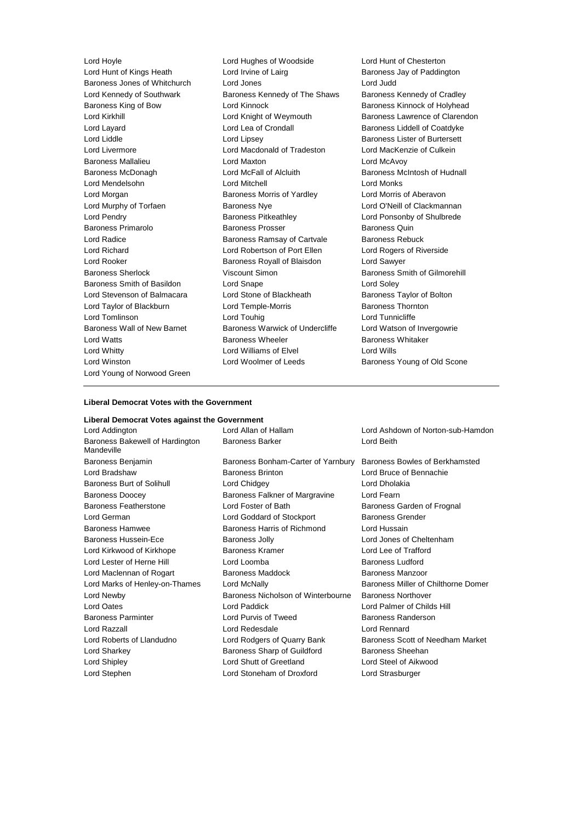Lord Hunt of Kings Heath Lord Irvine of Lairg **Baroness Jay of Paddington** Baroness Jones of Whitchurch Lord Jones Lord Judd Lord Kennedy of Southwark Baroness Kennedy of The Shaws Baroness Kennedy of Cradley<br>Baroness King of Bow Lord Kinnock Baroness Kinnock of Holyhead Lord Kirkhill **Lord Knight of Weymouth** Baroness Lawrence of Clarendon Lord Layard **Lord Lea of Crondall** Baroness Liddell of Coatdyke<br>
Lord Liddle Lord Lipsey **Baroness Lister of Burtersett** Lord Livermore Lord Macdonald of Tradeston Lord MacKenzie of Culkein Baroness Mallalieu Lord Maxton Lord McAvoy Baroness McDonagh Lord McFall of Alcluith Baroness McIntosh of Hudnall Lord Mendelsohn Lord Mitchell Lord Monks Lord Morgan **Baroness Morris of Yardley** Lord Morris of Aberavon Lord Murphy of Torfaen Baroness Nye Lord O'Neill of Clackmannan Lord Pendry Baroness Pitkeathley Lord Ponsonby of Shulbrede Baroness Primarolo **Baroness Prosser** Baroness Prosser Baroness Quin Lord Radice **Baroness Ramsay of Cartvale** Baroness Rebuck Lord Richard Lord Robertson of Port Ellen Lord Rogers of Riverside Lord Rooker Baroness Royall of Blaisdon Lord Sawyer Baroness Sherlock Viscount Simon Baroness Smith of Gilmorehill Baroness Smith of Basildon Lord Snape Lord Soley Lord Stevenson of Balmacara Lord Stone of Blackheath Baroness Taylor of Bolton Lord Taylor of Blackburn **Lord Temple-Morris** Baroness Thornton Lord Tomlinson Lord Touhig Lord Tunnicliffe Baroness Wall of New Barnet Baroness Warwick of Undercliffe Lord Watson of Invergowrie<br>
Lord Watts Baroness Wheeler Baroness Whitaker Lord Watts **Baroness Wheeler** Baroness Wheeler **Baroness Whitaker** Lord Whitty Lord Williams of Elvel Lord Wills Lord Winston **Lord Woolmer of Leeds** Baroness Young of Old Scone Lord Young of Norwood Green

Lord Hoyle Lord Hughes of Woodside Lord Hunt of Chesterton Lord Kinnock **Baroness Kinnock of Holyhead** Lord Lipsey **Baroness Lister of Burtersett** 

### **Liberal Democrat Votes with the Government**

# **Liberal Democrat Votes against the Government** Lord Addington Lord Allan of Hallam Lord Ashdown of Norton-sub-Hamdon Baroness Bakewell of Hardington Mandeville Baroness Barker Lord Beith Baroness Benjamin Baroness Bonham-Carter of Yarnbury Baroness Bowles of Berkhamsted Lord Bradshaw Baroness Brinton Lord Bruce of Bennachie Baroness Burt of Solihull Lord Chidgey Lord Dholakia Baroness Doocey Baroness Falkner of Margravine Lord Fearn Baroness Featherstone Lord Foster of Bath Baroness Garden of Frognal Lord German **Lord Goddard of Stockport** Baroness Grender Baroness Hamwee **Baroness Harris of Richmond** Lord Hussain Baroness Hussein-Ece Baroness Jolly Lord Jones of Cheltenham Lord Kirkwood of Kirkhope **Baroness Kramer** Baroness Kramer Lord Lee of Trafford Lord Lester of Herne Hill **Lord Loomba** Lord Loomba Baroness Ludford Lord Maclennan of Rogart Baroness Maddock Baroness Manzoor Lord Marks of Henley-on-Thames Lord McNally **Baroness Miller of Chilthorne Domer** Lord Newby Baroness Nicholson of Winterbourne Baroness Northover Lord Oates Lord Paddick Lord Palmer of Childs Hill Baroness Parminter **Lord Purvis of Tweed** Baroness Randerson Lord Razzall Lord Redesdale Lord Rennard Lord Roberts of Llandudno Lord Rodgers of Quarry Bank Baroness Scott of Needham Market Lord Sharkey Baroness Sharp of Guildford Baroness Sheehan Lord Shipley Lord Shutt of Greetland Lord Steel of Aikwood Lord Stephen Lord Stoneham of Droxford Lord Strasburger